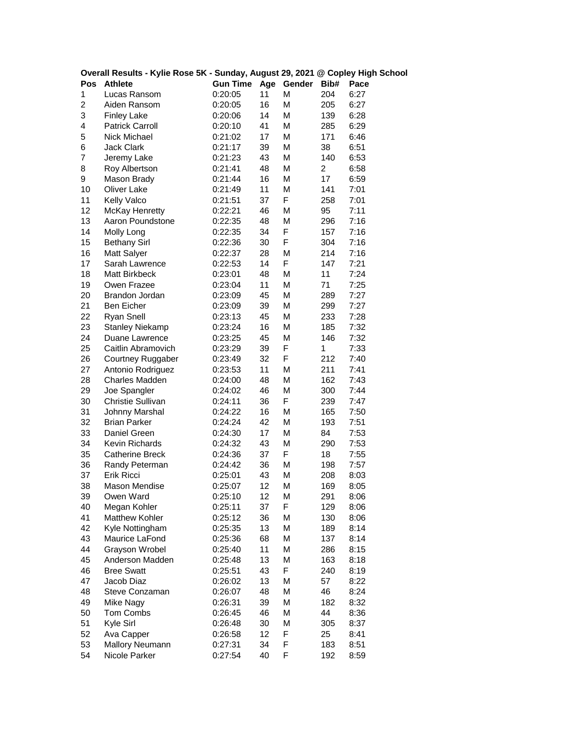| Overall Results - Kylie Rose 5K - Sunday, August 29, 2021 @ Copley High School |                          |                 |    |            |                         |      |
|--------------------------------------------------------------------------------|--------------------------|-----------------|----|------------|-------------------------|------|
| Pos                                                                            | <b>Athlete</b>           | <b>Gun Time</b> |    | Age Gender | Bib#                    | Pace |
| 1                                                                              | Lucas Ransom             | 0:20:05         | 11 | М          | 204                     | 6:27 |
| 2                                                                              | Aiden Ransom             | 0:20:05         | 16 | М          | 205                     | 6:27 |
| 3                                                                              | <b>Finley Lake</b>       | 0:20:06         | 14 | М          | 139                     | 6:28 |
| 4                                                                              | <b>Patrick Carroll</b>   | 0:20:10         | 41 | М          | 285                     | 6:29 |
| 5                                                                              | Nick Michael             | 0:21:02         | 17 | М          | 171                     | 6:46 |
| 6                                                                              | <b>Jack Clark</b>        | 0:21:17         | 39 | М          | 38                      | 6:51 |
| 7                                                                              | Jeremy Lake              | 0:21:23         | 43 | М          | 140                     | 6:53 |
| 8                                                                              | Roy Albertson            | 0:21:41         | 48 | М          | $\overline{\mathbf{c}}$ | 6:58 |
| 9                                                                              | Mason Brady              | 0:21:44         | 16 | М          | 17                      | 6:59 |
| 10                                                                             | Oliver Lake              | 0:21:49         | 11 | М          | 141                     | 7:01 |
| 11                                                                             | Kelly Valco              | 0:21:51         | 37 | F          | 258                     | 7:01 |
| 12                                                                             | <b>McKay Henretty</b>    | 0:22:21         | 46 | М          | 95                      | 7:11 |
| 13                                                                             | Aaron Poundstone         | 0:22:35         | 48 | М          | 296                     | 7:16 |
| 14                                                                             | Molly Long               | 0:22:35         | 34 | F          | 157                     | 7:16 |
| 15                                                                             | <b>Bethany Sirl</b>      | 0:22:36         | 30 | F          | 304                     | 7:16 |
| 16                                                                             | Matt Salyer              | 0:22:37         | 28 | М          | 214                     | 7:16 |
| 17                                                                             | Sarah Lawrence           | 0:22:53         | 14 | F          | 147                     | 7:21 |
| 18                                                                             | <b>Matt Birkbeck</b>     | 0:23:01         | 48 | М          | 11                      | 7:24 |
| 19                                                                             | Owen Frazee              | 0:23:04         | 11 | М          | 71                      | 7:25 |
| 20                                                                             | Brandon Jordan           | 0:23:09         | 45 | М          | 289                     | 7:27 |
| 21                                                                             | Ben Eicher               | 0:23:09         | 39 | М          | 299                     | 7:27 |
| 22                                                                             | <b>Ryan Snell</b>        | 0:23:13         | 45 | М          | 233                     | 7:28 |
| 23                                                                             | <b>Stanley Niekamp</b>   | 0:23:24         | 16 | М          | 185                     | 7:32 |
| 24                                                                             | Duane Lawrence           | 0:23:25         | 45 | М          | 146                     | 7:32 |
| 25                                                                             | Caitlin Abramovich       | 0:23:29         | 39 | F          | 1                       | 7:33 |
| 26                                                                             | <b>Courtney Ruggaber</b> | 0:23:49         | 32 | F          | 212                     | 7:40 |
| 27                                                                             | Antonio Rodriguez        | 0:23:53         | 11 | М          | 211                     | 7:41 |
| 28                                                                             | <b>Charles Madden</b>    | 0:24:00         | 48 | М          | 162                     | 7:43 |
| 29                                                                             | Joe Spangler             | 0:24:02         | 46 | М          | 300                     | 7:44 |
| 30                                                                             | Christie Sullivan        | 0:24:11         | 36 | F          | 239                     | 7:47 |
| 31                                                                             | Johnny Marshal           | 0:24:22         | 16 | М          | 165                     | 7:50 |
| 32                                                                             | <b>Brian Parker</b>      | 0:24:24         | 42 | М          | 193                     | 7:51 |
| 33                                                                             | Daniel Green             | 0:24:30         | 17 | М          | 84                      | 7:53 |
| 34                                                                             | Kevin Richards           | 0:24:32         | 43 | М          | 290                     | 7:53 |
| 35                                                                             | <b>Catherine Breck</b>   | 0:24:36         | 37 | F          | 18                      | 7:55 |
| 36                                                                             | Randy Peterman           | 0:24:42         | 36 | М          | 198                     | 7:57 |
| 37                                                                             | Erik Ricci               | 0:25:01         | 43 | М          | 208                     | 8:03 |
| 38                                                                             | Mason Mendise            | 0:25:07         | 12 | M          | 169                     | 8:05 |
| 39                                                                             | Owen Ward                | 0:25:10         | 12 | М          | 291                     | 8:06 |
| 40                                                                             | Megan Kohler             | 0:25:11         | 37 | F          | 129                     | 8:06 |
| 41                                                                             | Matthew Kohler           | 0:25:12         | 36 | М          | 130                     | 8:06 |
| 42                                                                             | Kyle Nottingham          | 0:25:35         | 13 | М          | 189                     | 8:14 |
| 43                                                                             | Maurice LaFond           | 0:25:36         | 68 | М          | 137                     | 8:14 |
| 44                                                                             | Grayson Wrobel           | 0:25:40         | 11 | М          | 286                     | 8:15 |
| 45                                                                             | Anderson Madden          | 0:25:48         | 13 | М          | 163                     | 8:18 |
| 46                                                                             | <b>Bree Swatt</b>        | 0:25:51         | 43 | F          | 240                     | 8:19 |
| 47                                                                             | Jacob Diaz               | 0:26:02         | 13 | М          | 57                      | 8:22 |
| 48                                                                             | Steve Conzaman           | 0:26:07         | 48 | М          | 46                      | 8:24 |
| 49                                                                             | Mike Nagy                | 0:26:31         | 39 | М          | 182                     | 8:32 |
| 50                                                                             | Tom Combs                | 0:26:45         | 46 | М          | 44                      | 8:36 |
| 51                                                                             | Kyle Sirl                | 0:26:48         | 30 | М          | 305                     | 8:37 |
| 52                                                                             | Ava Capper               | 0:26:58         | 12 | F          | 25                      | 8:41 |
| 53                                                                             | Mallory Neumann          | 0:27:31         | 34 | F          | 183                     | 8:51 |
| 54                                                                             | Nicole Parker            | 0:27:54         | 40 | F          | 192                     | 8:59 |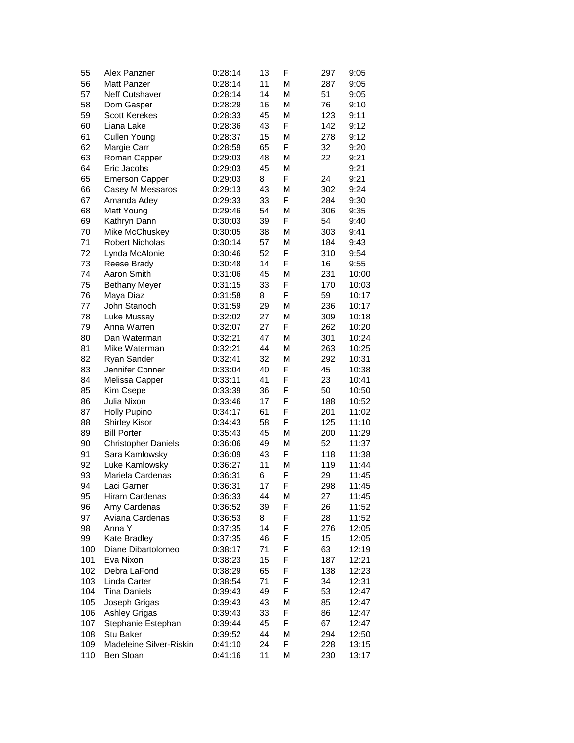| 55  | Alex Panzner               | 0:28:14 | 13 | F | 297 | 9:05  |
|-----|----------------------------|---------|----|---|-----|-------|
| 56  | <b>Matt Panzer</b>         | 0:28:14 | 11 | М | 287 | 9:05  |
| 57  | Neff Cutshaver             | 0:28:14 | 14 | М | 51  | 9:05  |
| 58  | Dom Gasper                 | 0:28:29 | 16 | М | 76  | 9:10  |
| 59  | <b>Scott Kerekes</b>       | 0:28:33 | 45 | М | 123 | 9:11  |
| 60  | Liana Lake                 | 0:28:36 | 43 | F | 142 | 9:12  |
| 61  | Cullen Young               | 0:28:37 | 15 | М | 278 | 9:12  |
| 62  | Margie Carr                | 0:28:59 | 65 | F | 32  | 9:20  |
| 63  | Roman Capper               | 0:29:03 | 48 | М | 22  | 9:21  |
| 64  | Eric Jacobs                | 0:29:03 | 45 | М |     | 9:21  |
| 65  | <b>Emerson Capper</b>      | 0:29:03 | 8  | F | 24  | 9:21  |
| 66  | Casey M Messaros           | 0:29:13 | 43 | М | 302 | 9:24  |
| 67  | Amanda Adey                | 0:29:33 | 33 | F | 284 | 9:30  |
| 68  | Matt Young                 | 0:29:46 | 54 | M | 306 | 9:35  |
| 69  | Kathryn Dann               | 0:30:03 | 39 | F | 54  | 9:40  |
| 70  | Mike McChuskey             | 0:30:05 | 38 | M | 303 | 9:41  |
| 71  | <b>Robert Nicholas</b>     | 0:30:14 | 57 | М | 184 | 9:43  |
| 72  | Lynda McAlonie             | 0:30:46 | 52 | F | 310 | 9:54  |
| 73  | Reese Brady                | 0:30:48 | 14 | F | 16  | 9:55  |
| 74  | Aaron Smith                | 0:31:06 | 45 | М | 231 | 10:00 |
| 75  | <b>Bethany Meyer</b>       | 0:31:15 | 33 | F | 170 | 10:03 |
| 76  | Maya Diaz                  | 0:31:58 | 8  | F | 59  | 10:17 |
| 77  | John Stanoch               | 0:31:59 | 29 | M | 236 | 10:17 |
| 78  | Luke Mussay                | 0:32:02 | 27 | М | 309 | 10:18 |
| 79  | Anna Warren                | 0:32:07 | 27 | F | 262 | 10:20 |
| 80  | Dan Waterman               | 0:32:21 | 47 | М | 301 | 10:24 |
| 81  | Mike Waterman              | 0:32:21 | 44 | М | 263 | 10:25 |
| 82  | Ryan Sander                | 0:32:41 | 32 | М | 292 | 10:31 |
| 83  | Jennifer Conner            | 0:33:04 | 40 | F | 45  | 10:38 |
| 84  | Melissa Capper             | 0:33:11 | 41 | F | 23  | 10:41 |
| 85  | Kim Csepe                  | 0:33:39 | 36 | F | 50  | 10:50 |
| 86  | Julia Nixon                | 0:33:46 | 17 | F | 188 | 10:52 |
| 87  | <b>Holly Pupino</b>        | 0:34:17 | 61 | F | 201 | 11:02 |
| 88  | <b>Shirley Kisor</b>       | 0:34:43 | 58 | F | 125 | 11:10 |
| 89  | <b>Bill Porter</b>         | 0:35:43 | 45 | М | 200 | 11:29 |
| 90  | <b>Christopher Daniels</b> | 0:36:06 | 49 | М | 52  | 11:37 |
| 91  | Sara Kamlowsky             | 0:36:09 | 43 | F | 118 | 11:38 |
| 92  | Luke Kamlowsky             | 0:36:27 | 11 | М | 119 | 11:44 |
| 93  | Mariela Cardenas           | 0:36:31 | 6  | F | 29  | 11:45 |
| 94  | Laci Garner                | 0:36:31 | 17 | F | 298 | 11:45 |
| 95  | Hiram Cardenas             | 0:36:33 | 44 | М | 27  | 11:45 |
| 96  | Amy Cardenas               | 0:36:52 | 39 | F | 26  | 11:52 |
| 97  | Aviana Cardenas            | 0:36:53 | 8  | F | 28  | 11:52 |
| 98  | Anna Y                     | 0:37:35 | 14 | F | 276 | 12:05 |
| 99  | Kate Bradley               | 0:37:35 | 46 | F | 15  | 12:05 |
| 100 | Diane Dibartolomeo         | 0:38:17 | 71 | F | 63  | 12:19 |
| 101 | Eva Nixon                  | 0:38:23 | 15 | F | 187 | 12:21 |
| 102 | Debra LaFond               | 0:38:29 | 65 | F | 138 | 12:23 |
| 103 | Linda Carter               | 0:38:54 | 71 | F | 34  | 12:31 |
| 104 | <b>Tina Daniels</b>        | 0:39:43 | 49 | F | 53  | 12:47 |
| 105 | Joseph Grigas              | 0:39:43 | 43 | М | 85  | 12:47 |
| 106 | <b>Ashley Grigas</b>       | 0:39:43 | 33 | F | 86  | 12:47 |
| 107 | Stephanie Estephan         | 0:39:44 | 45 | F | 67  | 12:47 |
| 108 | Stu Baker                  | 0:39:52 | 44 | М | 294 | 12:50 |
| 109 | Madeleine Silver-Riskin    | 0:41:10 | 24 | F | 228 | 13:15 |
| 110 | Ben Sloan                  | 0:41:16 | 11 | М | 230 | 13:17 |